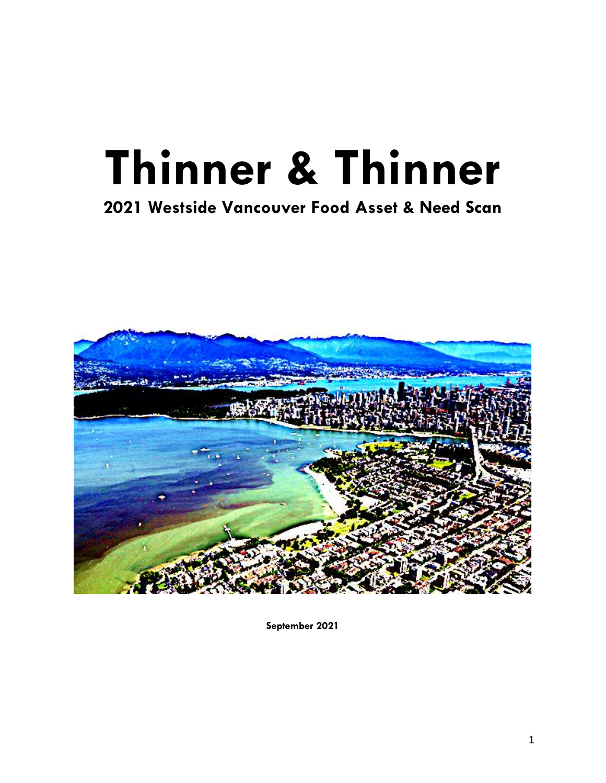# **Thinner & Thinner**

# **2021 Westside Vancouver Food Asset & Need Scan**



**September 2021**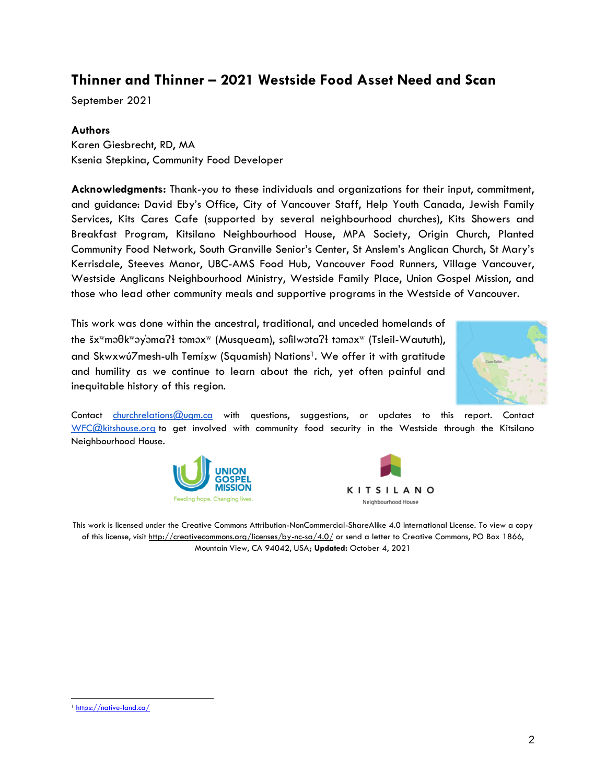## **Thinner and Thinner – 2021 Westside Food Asset Need and Scan**

September 2021

#### **Authors**

Karen Giesbrecht, RD, MA Ksenia Stepkina, Community Food Developer

**Acknowledgments:** Thank-you to these individuals and organizations for their input, commitment, and guidance: David Eby's Office, City of Vancouver Staff, Help Youth Canada, Jewish Family Services, Kits Cares Cafe (supported by several neighbourhood churches), Kits Showers and Breakfast Program, Kitsilano Neighbourhood House, MPA Society, Origin Church, Planted Community Food Network, South Granville Senior's Center, St Anslem's Anglican Church, St Mary's Kerrisdale, Steeves Manor, UBC-AMS Food Hub, Vancouver Food Runners, Village Vancouver, Westside Anglicans Neighbourhood Ministry, Westside Family Place, Union Gospel Mission, and those who lead other community meals and supportive programs in the Westside of Vancouver.

This work was done within the ancestral, traditional, and unceded homelands of the šxʷməθkʷəy̓əmaɁɬ təməxʷ (Musqueam), səl̓ilwətaɁɬ təməxʷ (Tsleil-Waututh), and Skwxwú7mesh-ulh Temíxw (Squamish) Nations<sup>1</sup>. We offer it with gratitude and humility as we continue to learn about the rich, yet often painful and inequitable history of this region.



Contact [churchrelations@ugm.ca](mailto:churchrelations@ugm.ca) with questions, suggestions, or updates to this report. Contact [WFC@kitshouse.org](mailto:WFC@kitshouse.org) to get involved with community food security in the Westside through the Kitsilano Neighbourhood House.





This work is licensed under the Creative Commons Attribution-NonCommercial-ShareAlike 4.0 International License. To view a copy of this license, visit<http://creativecommons.org/licenses/by-nc-sa/4.0/> or send a letter to Creative Commons, PO Box 1866, Mountain View, CA 94042, USA; **Updated:** October 4, 2021

<sup>1</sup> <https://native-land.ca/>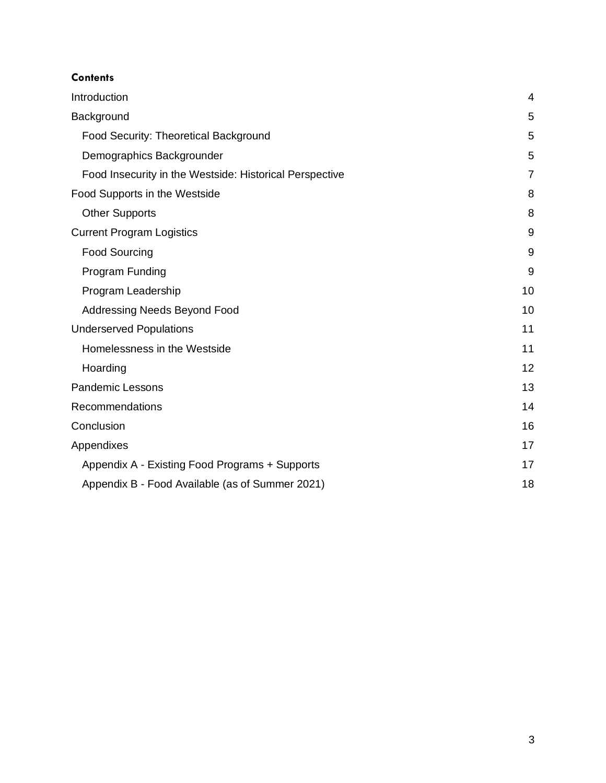#### **Contents**

| Introduction                                            | 4              |  |
|---------------------------------------------------------|----------------|--|
| Background                                              | 5              |  |
| Food Security: Theoretical Background                   | 5              |  |
| Demographics Backgrounder                               | 5              |  |
| Food Insecurity in the Westside: Historical Perspective | $\overline{7}$ |  |
| Food Supports in the Westside                           | 8              |  |
| <b>Other Supports</b>                                   | 8              |  |
| <b>Current Program Logistics</b>                        | 9              |  |
| <b>Food Sourcing</b>                                    | 9              |  |
| Program Funding                                         | 9              |  |
| Program Leadership                                      | 10             |  |
| <b>Addressing Needs Beyond Food</b>                     | 10             |  |
| <b>Underserved Populations</b>                          | 11             |  |
| Homelessness in the Westside                            | 11             |  |
| Hoarding                                                | 12             |  |
| <b>Pandemic Lessons</b>                                 | 13             |  |
| Recommendations                                         | 14             |  |
| Conclusion                                              | 16             |  |
| Appendixes                                              | 17             |  |
| Appendix A - Existing Food Programs + Supports          |                |  |
| Appendix B - Food Available (as of Summer 2021)         | 18             |  |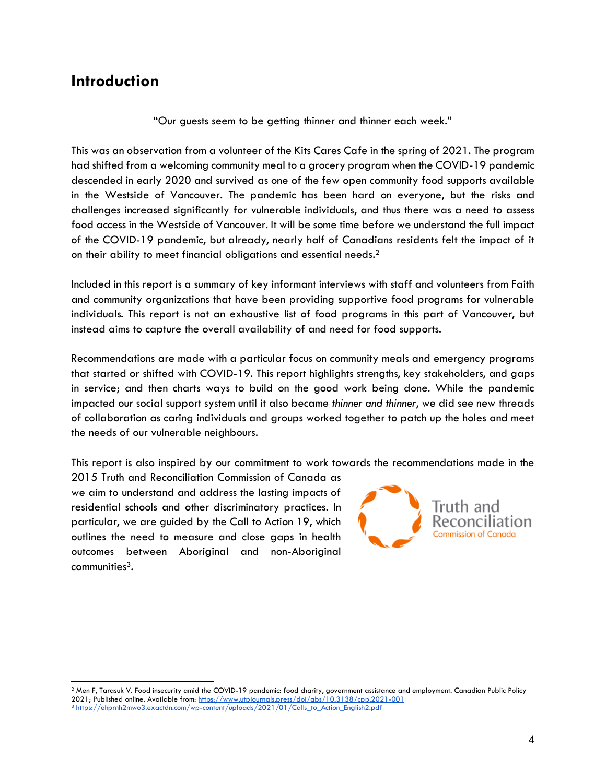## <span id="page-3-0"></span>**Introduction**

"Our guests seem to be getting thinner and thinner each week."

This was an observation from a volunteer of the Kits Cares Cafe in the spring of 2021. The program had shifted from a welcoming community meal to a grocery program when the COVID-19 pandemic descended in early 2020 and survived as one of the few open community food supports available in the Westside of Vancouver. The pandemic has been hard on everyone, but the risks and challenges increased significantly for vulnerable individuals, and thus there was a need to assess food access in the Westside of Vancouver. It will be some time before we understand the full impact of the COVID-19 pandemic, but already, nearly half of Canadians residents felt the impact of it on their ability to meet financial obligations and essential needs. $2$ 

Included in this report is a summary of key informant interviews with staff and volunteers from Faith and community organizations that have been providing supportive food programs for vulnerable individuals. This report is not an exhaustive list of food programs in this part of Vancouver, but instead aims to capture the overall availability of and need for food supports.

Recommendations are made with a particular focus on community meals and emergency programs that started or shifted with COVID-19. This report highlights strengths, key stakeholders, and gaps in service; and then charts ways to build on the good work being done. While the pandemic impacted our social support system until it also became *thinner and thinner*, we did see new threads of collaboration as caring individuals and groups worked together to patch up the holes and meet the needs of our vulnerable neighbours.

This report is also inspired by our commitment to work towards the recommendations made in the

2015 Truth and Reconciliation Commission of Canada as we aim to understand and address the lasting impacts of residential schools and other discriminatory practices. In particular, we are guided by the Call to Action 19, which outlines the need to measure and close gaps in health outcomes between Aboriginal and non-Aboriginal communities3.



<sup>2</sup> Men F, Tarasuk V. Food insecurity amid the COVID-19 pandemic: food charity, government assistance and employment. Canadian Public Policy 2021; Published online. Available from[: https://www.utpjournals.press/doi/abs/10.3138/cpp.2021-001](https://www.utpjournals.press/doi/abs/10.3138/cpp.2021-001)

<sup>3</sup> [https://ehprnh2mwo3.exactdn.com/wp-content/uploads/2021/01/Calls\\_to\\_Action\\_English2.pdf](https://ehprnh2mwo3.exactdn.com/wp-content/uploads/2021/01/Calls_to_Action_English2.pdf)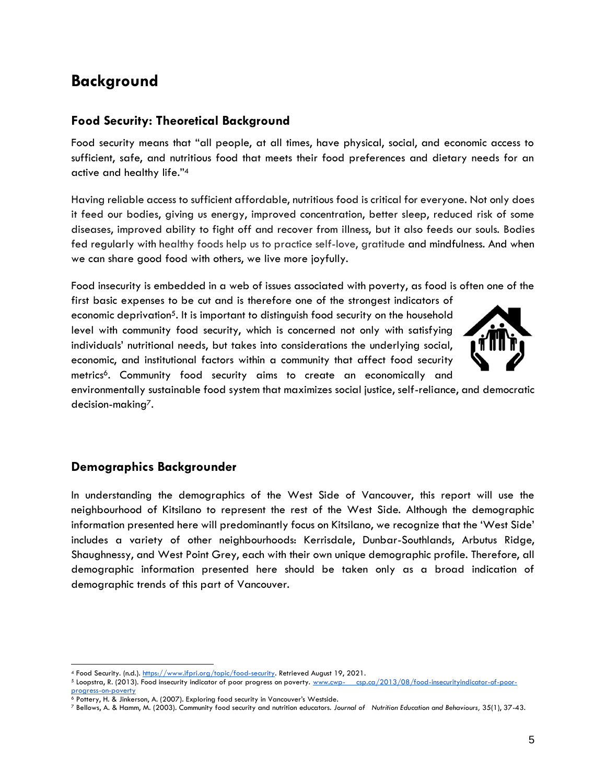## <span id="page-4-0"></span>**Background**

#### <span id="page-4-1"></span>**Food Security: Theoretical Background**

Food security means that "all people, at all times, have physical, social, and economic access to sufficient, safe, and nutritious food that meets their food preferences and dietary needs for an active and healthy life."<sup>4</sup>

Having reliable access to sufficient affordable, nutritious food is critical for everyone. Not only does it feed our bodies, giving us energy, improved concentration, better sleep, reduced risk of some diseases, improved ability to fight off and recover from illness, but it also feeds our souls. Bodies fed regularly with healthy foods help us to practice self-love, [gratitude](https://www.psychologytoday.com/us/basics/gratitude) and mindfulness. And when we can share good food with others, we live more joyfully.

Food insecurity is embedded in a web of issues associated with poverty, as food is often one of the

first basic expenses to be cut and is therefore one of the strongest indicators of economic deprivation<sup>5</sup>. It is important to distinguish food security on the household level with community food security, which is concerned not only with satisfying individuals' nutritional needs, but takes into considerations the underlying social, economic, and institutional factors within a community that affect food security metrics<sup>6</sup>. Community food security aims to create an economically and



environmentally sustainable food system that maximizes social justice, self-reliance, and democratic decision-making7.

#### <span id="page-4-2"></span>**Demographics Backgrounder**

In understanding the demographics of the West Side of Vancouver, this report will use the neighbourhood of Kitsilano to represent the rest of the West Side. Although the demographic information presented here will predominantly focus on Kitsilano, we recognize that the 'West Side' includes a variety of other neighbourhoods: Kerrisdale, Dunbar-Southlands, Arbutus Ridge, Shaughnessy, and West Point Grey, each with their own unique demographic profile. Therefore, all demographic information presented here should be taken only as a broad indication of demographic trends of this part of Vancouver.

<sup>4</sup> Food Security. (n.d.). [https://www.ifpri.org/topic/food-security.](https://www.ifpri.org/topic/food-security) Retrieved August 19, 2021.

<sup>5</sup> Loopstra, R. (2013). Food insecurity indicator of poor progress on poverty. www.cwp- [csp.ca/2013/08/food-insecurityindicator-of-poor-](about:blank)

[progress-on-poverty](about:blank) 

<sup>6</sup> Pottery, H. & Jinkerson, A. (2007). Exploring food security in Vancouver's Westside.

<sup>7</sup> Bellows, A. & Hamm, M. (2003). Community food security and nutrition educators. *Journal of Nutrition Education and Behaviours,* 35(1), 37-43.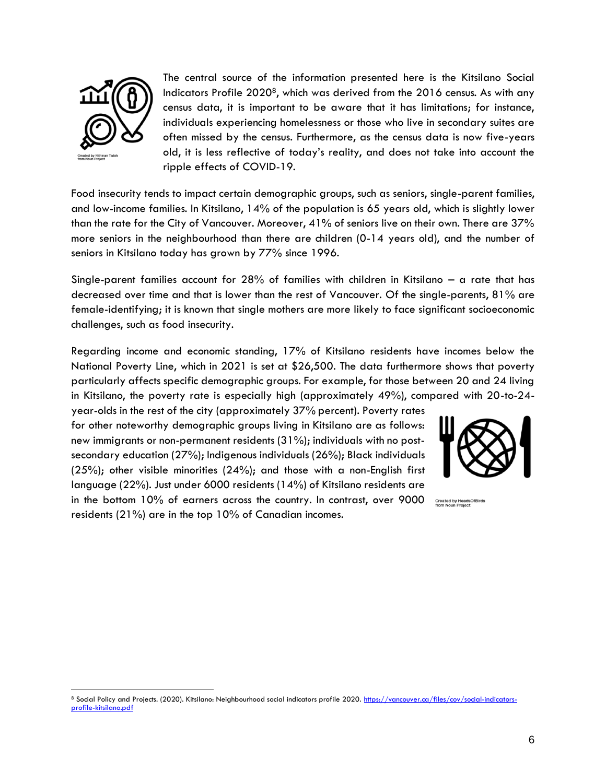

The central source of the information presented here is the Kitsilano Social Indicators Profile 20208, which was derived from the 2016 census. As with any census data, it is important to be aware that it has limitations; for instance, individuals experiencing homelessness or those who live in secondary suites are often missed by the census. Furthermore, as the census data is now five-years old, it is less reflective of today's reality, and does not take into account the ripple effects of COVID-19.

Food insecurity tends to impact certain demographic groups, such as seniors, single-parent families, and low-income families. In Kitsilano, 14% of the population is 65 years old, which is slightly lower than the rate for the City of Vancouver. Moreover, 41% of seniors live on their own. There are 37% more seniors in the neighbourhood than there are children (0-14 years old), and the number of seniors in Kitsilano today has grown by 77% since 1996.

Single-parent families account for 28% of families with children in Kitsilano – a rate that has decreased over time and that is lower than the rest of Vancouver. Of the single-parents, 81% are female-identifying; it is known that single mothers are more likely to face significant socioeconomic challenges, such as food insecurity.

Regarding income and economic standing, 17% of Kitsilano residents have incomes below the National Poverty Line, which in 2021 is set at \$26,500. The data furthermore shows that poverty particularly affects specific demographic groups. For example, for those between 20 and 24 living in Kitsilano, the poverty rate is especially high (approximately 49%), compared with 20-to-24-

year-olds in the rest of the city (approximately 37% percent). Poverty rates for other noteworthy demographic groups living in Kitsilano are as follows: new immigrants or non-permanent residents (31%); individuals with no postsecondary education (27%); Indigenous individuals (26%); Black individuals (25%); other visible minorities (24%); and those with a non-English first language (22%). Just under 6000 residents (14%) of Kitsilano residents are in the bottom 10% of earners across the country. In contrast, over 9000 residents (21%) are in the top 10% of Canadian incomes.



**Created by Heads**<br>from Noun Project

<sup>8</sup> Social Policy and Projects. (2020). Kitsilano: Neighbourhood social indicators profile 2020. [https://vancouver.ca/files/cov/social-indicators](https://vancouver.ca/files/cov/social-indicators-profile-kitsilano.pdf)[profile-kitsilano.pdf](https://vancouver.ca/files/cov/social-indicators-profile-kitsilano.pdf)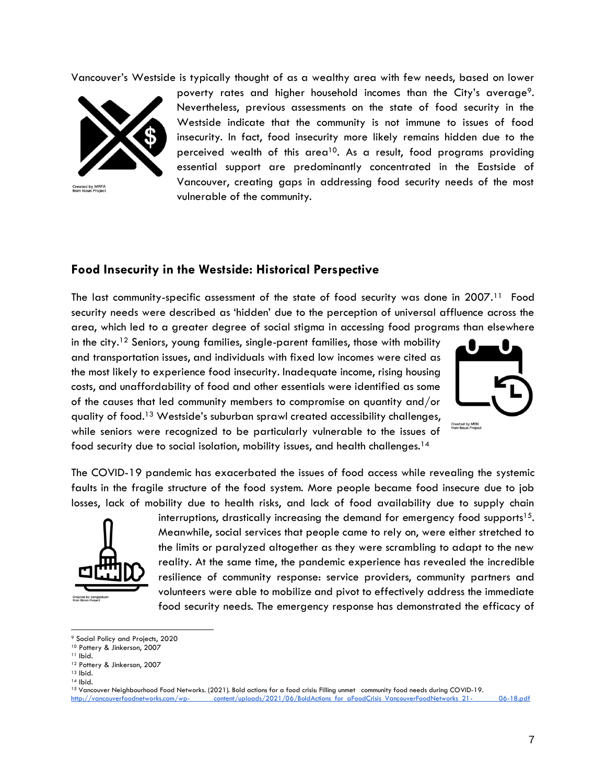Vancouver's Westside is typically thought of as a wealthy area with few needs, based on lower



Created by MRFA<br>from Noun Project

poverty rates and higher household incomes than the City's average<sup>9</sup>. Nevertheless, previous assessments on the state of food security in the Westside indicate that the community is not immune to issues of food insecurity. In fact, food insecurity more likely remains hidden due to the perceived wealth of this area<sup>10</sup>. As a result, food programs providing essential support are predominantly concentrated in the Eastside of Vancouver, creating gaps in addressing food security needs of the most vulnerable of the community.

#### <span id="page-6-0"></span>**Food Insecurity in the Westside: Historical Perspective**

The last community-specific assessment of the state of food security was done in 2007.<sup>11</sup> Food security needs were described as 'hidden' due to the perception of universal affluence across the area, which led to a greater degree of social stigma in accessing food programs than elsewhere

in the city.<sup>12</sup> Seniors, young families, single-parent families, those with mobility and transportation issues, and individuals with fixed low incomes were cited as the most likely to experience food insecurity. Inadequate income, rising housing costs, and unaffordability of food and other essentials were identified as some of the causes that led community members to compromise on quantity and/or quality of food.<sup>13</sup> Westside's suburban sprawl created accessibility challenges, while seniors were recognized to be particularly vulnerable to the issues of food security due to social isolation, mobility issues, and health challenges.<sup>14</sup>



The COVID-19 pandemic has exacerbated the issues of food access while revealing the systemic faults in the fragile structure of the food system. More people became food insecure due to job losses, lack of mobility due to health risks, and lack of food availability due to supply chain



interruptions, drastically increasing the demand for emergency food supports<sup>15</sup>. Meanwhile, social services that people came to rely on, were either stretched to the limits or paralyzed altogether as they were scrambling to adapt to the new reality. At the same time, the pandemic experience has revealed the incredible resilience of community response: service providers, community partners and volunteers were able to mobilize and pivot to effectively address the immediate food security needs. The emergency response has demonstrated the efficacy of

<sup>9</sup> Social Policy and Projects, 2020

<sup>10</sup> Pottery & Jinkerson, 2007

<sup>11</sup> Ibid.

<sup>12</sup> Pottery & Jinkerson, 2007

<sup>13</sup> Ibid.

<sup>14</sup> Ibid.

<sup>15</sup> Vancouver Neighbourhood Food Networks. (2021). Bold actions for a food crisis: Filling unmet community food needs during COVID-19. [http://vancouverfoodnetworks.com/wp- content/uploads/2021/06/BoldActions\\_for\\_aFoodCrisis\\_VancouverFoodNetworks\\_21-](http://vancouverfoodnetworks.com/wp-) 06-18.pdf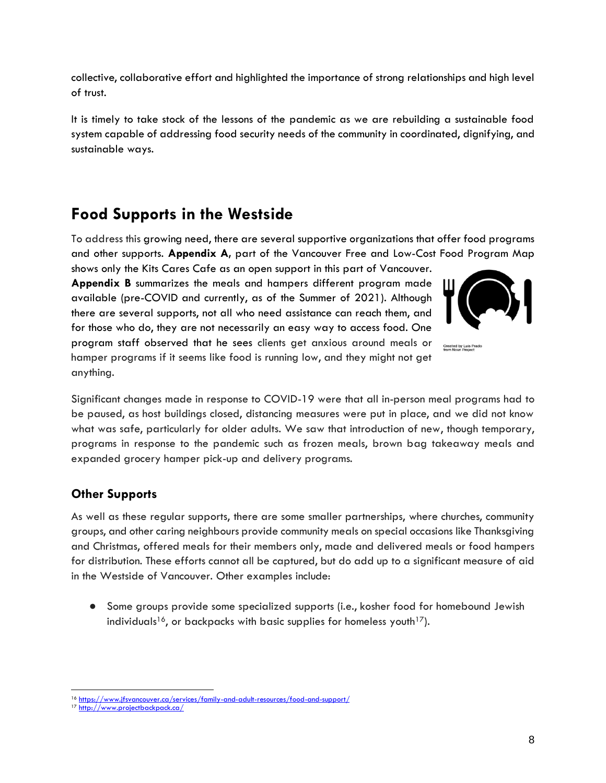collective, collaborative effort and highlighted the importance of strong relationships and high level of trust.

It is timely to take stock of the lessons of the pandemic as we are rebuilding a sustainable food system capable of addressing food security needs of the community in coordinated, dignifying, and sustainable ways.

## <span id="page-7-0"></span>**Food Supports in the Westside**

To address this growing need, there are several supportive organizations that offer food programs and other supports. **Appendix A,** part of the Vancouver Free and Low-Cost Food Program Map

shows only the Kits Cares Cafe as an open support in this part of Vancouver. **Appendix B** summarizes the meals and hampers different program made available (pre-COVID and currently, as of the Summer of 2021). Although there are several supports, not all who need assistance can reach them, and for those who do, they are not necessarily an easy way to access food. One program staff observed that he sees clients get anxious around meals or hamper programs if it seems like food is running low, and they might not get anything.



Created by Luis Prado<br>from Noun Project

Significant changes made in response to COVID-19 were that all in-person meal programs had to be paused, as host buildings closed, distancing measures were put in place, and we did not know what was safe, particularly for older adults. We saw that introduction of new, though temporary, programs in response to the pandemic such as frozen meals, brown bag takeaway meals and expanded grocery hamper pick-up and delivery programs.

#### <span id="page-7-1"></span>**Other Supports**

As well as these regular supports, there are some smaller partnerships, where churches, community groups, and other caring neighbours provide community meals on special occasions like Thanksgiving and Christmas, offered meals for their members only, made and delivered meals or food hampers for distribution. These efforts cannot all be captured, but do add up to a significant measure of aid in the Westside of Vancouver. Other examples include:

● Some groups provide some specialized supports (i.e., kosher food for homebound Jewish individuals<sup>16</sup>, or backpacks with basic supplies for homeless youth<sup>17</sup>).

<sup>16</sup> <https://www.jfsvancouver.ca/services/family-and-adult-resources/food-and-support/>

<sup>17</sup> <http://www.projectbackpack.ca/>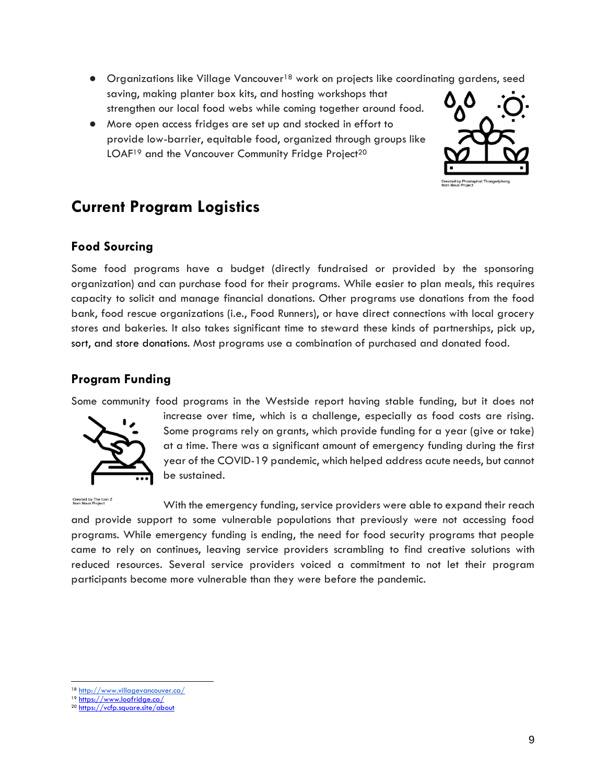- Organizations like Village Vancouver<sup>18</sup> work on projects like coordinating gardens, seed saving, making planter box kits, and hosting workshops that strengthen our local food webs while coming together around food.
- More open access fridges are set up and stocked in effort to provide low-barrier, equitable food, organized through groups like LOAF<sup>19</sup> and the Vancouver Community Fridge Project<sup>20</sup>



## <span id="page-8-0"></span>**Current Program Logistics**

## <span id="page-8-1"></span>**Food Sourcing**

Some food programs have a budget (directly fundraised or provided by the sponsoring organization) and can purchase food for their programs. While easier to plan meals, this requires capacity to solicit and manage financial donations. Other programs use donations from the food bank, food rescue organizations (i.e., Food Runners), or have direct connections with local grocery stores and bakeries. It also takes significant time to steward these kinds of partnerships, pick up, sort, and store donations. Most programs use a combination of purchased and donated food.

## <span id="page-8-2"></span>**Program Funding**

Some community food programs in the Westside report having stable funding, but it does not



increase over time, which is a challenge, especially as food costs are rising. Some programs rely on grants, which provide funding for a year (give or take) at a time. There was a significant amount of emergency funding during the first year of the COVID-19 pandemic, which helped address acute needs, but cannot be sustained.

Created by The Icon Z<br>from Noun Project

With the emergency funding, service providers were able to expand their reach and provide support to some vulnerable populations that previously were not accessing food programs. While emergency funding is ending, the need for food security programs that people came to rely on continues, leaving service providers scrambling to find creative solutions with reduced resources. Several service providers voiced a commitment to not let their program participants become more vulnerable than they were before the pandemic.

<sup>18</sup> <http://www.villagevancouver.ca/>

<sup>19</sup> <https://www.loafridge.ca/>

<sup>20</sup> <https://vcfp.square.site/about>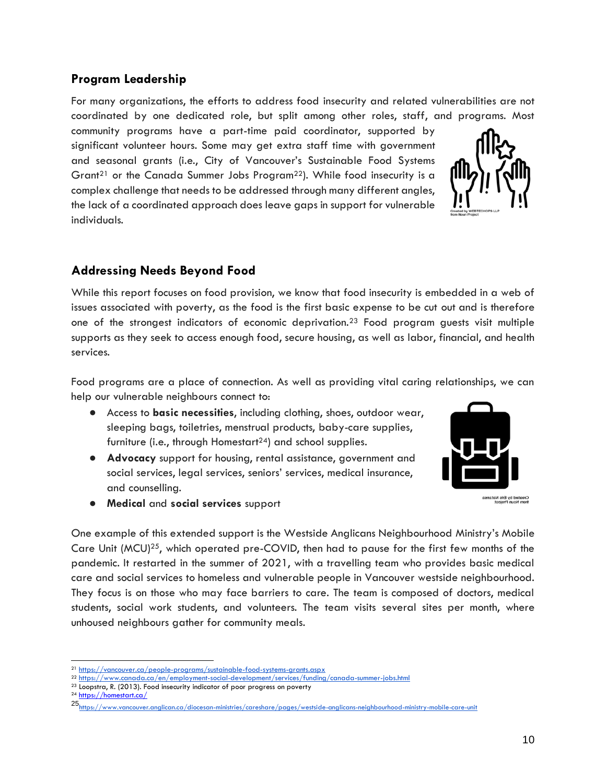## <span id="page-9-0"></span>**Program Leadership**

For many organizations, the efforts to address food insecurity and related vulnerabilities are not coordinated by one dedicated role, but split among other roles, staff, and programs. Most

community programs have a part-time paid coordinator, supported by significant volunteer hours. Some may get extra staff time with government and seasonal grants (i.e., City of Vancouver's Sustainable Food Systems Grant<sup>21</sup> or the Canada Summer Jobs Program<sup>22</sup>). While food insecurity is a complex challenge that needs to be addressed through many different angles, the lack of a coordinated approach does leave gaps in support for vulnerable individuals.

## <span id="page-9-1"></span>**Addressing Needs Beyond Food**

While this report focuses on food provision, we know that food insecurity is embedded in a web of issues associated with poverty, as the food is the first basic expense to be cut out and is therefore one of the strongest indicators of economic deprivation.<sup>23</sup> Food program guests visit multiple supports as they seek to access enough food, secure housing, as well as labor, financial, and health services.

Food programs are a place of connection. As well as providing vital caring relationships, we can help our vulnerable neighbours connect to:

- Access to **basic necessities**, including clothing, shoes, outdoor wear, sleeping bags, toiletries, menstrual products, baby-care supplies, furniture (i.e., through Homestart<sup>24</sup>) and school supplies.
- **Advocacy** support for housing, rental assistance, government and social services, legal services, seniors' services, medical insurance, and counselling.
- **Medical** and **social services** support

One example of this extended support is the Westside Anglicans Neighbourhood Ministry's Mobile Care Unit (MCU)<sup>25</sup>, which operated pre-COVID, then had to pause for the first few months of the pandemic. It restarted in the summer of 2021, with a travelling team who provides basic medical care and social services to homeless and vulnerable people in Vancouver westside neighbourhood. They focus is on those who may face barriers to care. The team is composed of doctors, medical students, social work students, and volunteers. The team visits several sites per month, where unhoused neighbours gather for community meals.

<sup>24</sup> <https://homestart.ca/>





.<br>Created by Eris Natan<br>from Noun Project

<sup>21</sup> <https://vancouver.ca/people-programs/sustainable-food-systems-grants.aspx>

<sup>22</sup> <https://www.canada.ca/en/employment-social-development/services/funding/canada-summer-jobs.html>

<sup>23</sup> Loopstra, R. (2013). Food insecurity indicator of poor progress on poverty

<sup>25</sup><https://www.vancouver.anglican.ca/diocesan-ministries/careshare/pages/westside-anglicans-neighbourhood-ministry-mobile-care-unit>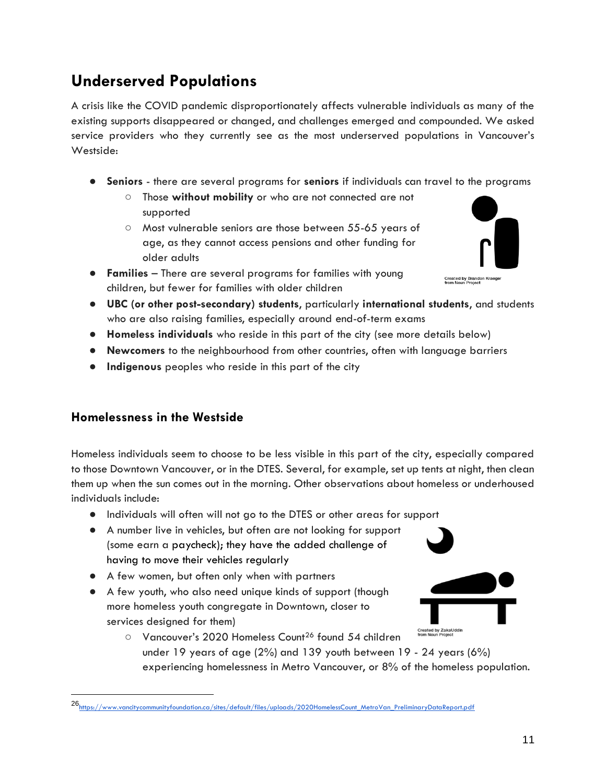# <span id="page-10-0"></span>**Underserved Populations**

A crisis like the COVID pandemic disproportionately affects vulnerable individuals as many of the existing supports disappeared or changed, and challenges emerged and compounded. We asked service providers who they currently see as the most underserved populations in Vancouver's Westside:

- **Seniors** there are several programs for **seniors** if individuals can travel to the programs
	- Those **without mobility** or who are not connected are not supported
	- Most vulnerable seniors are those between 55-65 years of age, as they cannot access pensions and other funding for older adults
- **Families** There are several programs for families with young children, but fewer for families with older children



- **UBC (or other post-secondary) students**, particularly **international students**, and students who are also raising families, especially around end-of-term exams
- **Homeless individuals** who reside in this part of the city (see more details below)
- **Newcomers** to the neighbourhood from other countries, often with language barriers
- **Indigenous** peoples who reside in this part of the city

#### <span id="page-10-1"></span>**Homelessness in the Westside**

Homeless individuals seem to choose to be less visible in this part of the city, especially compared to those Downtown Vancouver, or in the DTES. Several, for example, set up tents at night, then clean them up when the sun comes out in the morning. Other observations about homeless or underhoused individuals include:

- Individuals will often will not go to the DTES or other areas for support
- A number live in vehicles, but often are not looking for support (some earn a paycheck); they have the added challenge of having to move their vehicles regularly
- A few women, but often only when with partners
- A few youth, who also need unique kinds of support (though more homeless youth congregate in Downtown, closer to services designed for them)



○ Vancouver's 2020 Homeless Count<sup>26</sup> found 54 children under 19 years of age (2%) and 139 youth between 19 - 24 years (6%) experiencing homelessness in Metro Vancouver, or 8% of the homeless population.

<sup>26&</sup>lt;br>https://www.vancityco<u>mmunityfoundation.ca/sites/default/files/uploads/2020HomelessCount\_MetroVan\_PreliminaryDataReport.pdf</u>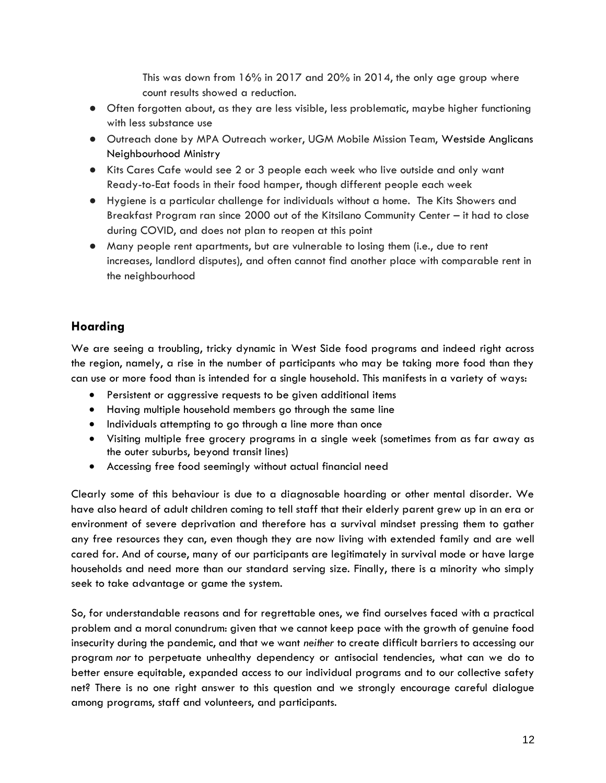This was down from 16% in 2017 and 20% in 2014, the only age group where count results showed a reduction.

- Often forgotten about, as they are less visible, less problematic, maybe higher functioning with less substance use
- Outreach done by MPA Outreach worker, UGM Mobile Mission Team, Westside Anglicans Neighbourhood Ministry
- Kits Cares Cafe would see 2 or 3 people each week who live outside and only want Ready-to-Eat foods in their food hamper, though different people each week
- Hygiene is a particular challenge for individuals without a home. The Kits Showers and Breakfast Program ran since 2000 out of the Kitsilano Community Center – it had to close during COVID, and does not plan to reopen at this point
- Many people rent apartments, but are vulnerable to losing them (i.e., due to rent increases, landlord disputes), and often cannot find another place with comparable rent in the neighbourhood

## <span id="page-11-0"></span>**Hoarding**

We are seeing a troubling, tricky dynamic in West Side food programs and indeed right across the region, namely, a rise in the number of participants who may be taking more food than they can use or more food than is intended for a single household. This manifests in a variety of ways:

- Persistent or aggressive requests to be given additional items
- Having multiple household members go through the same line
- Individuals attempting to go through a line more than once
- Visiting multiple free grocery programs in a single week (sometimes from as far away as the outer suburbs, beyond transit lines)
- Accessing free food seemingly without actual financial need

Clearly some of this behaviour is due to a diagnosable hoarding or other mental disorder. We have also heard of adult children coming to tell staff that their elderly parent grew up in an era or environment of severe deprivation and therefore has a survival mindset pressing them to gather any free resources they can, even though they are now living with extended family and are well cared for. And of course, many of our participants are legitimately in survival mode or have large households and need more than our standard serving size. Finally, there is a minority who simply seek to take advantage or game the system.

So, for understandable reasons and for regrettable ones, we find ourselves faced with a practical problem and a moral conundrum: given that we cannot keep pace with the growth of genuine food insecurity during the pandemic, and that we want *neither* to create difficult barriers to accessing our program *nor* to perpetuate unhealthy dependency or antisocial tendencies, what can we do to better ensure equitable, expanded access to our individual programs and to our collective safety net? There is no one right answer to this question and we strongly encourage careful dialogue among programs, staff and volunteers, and participants.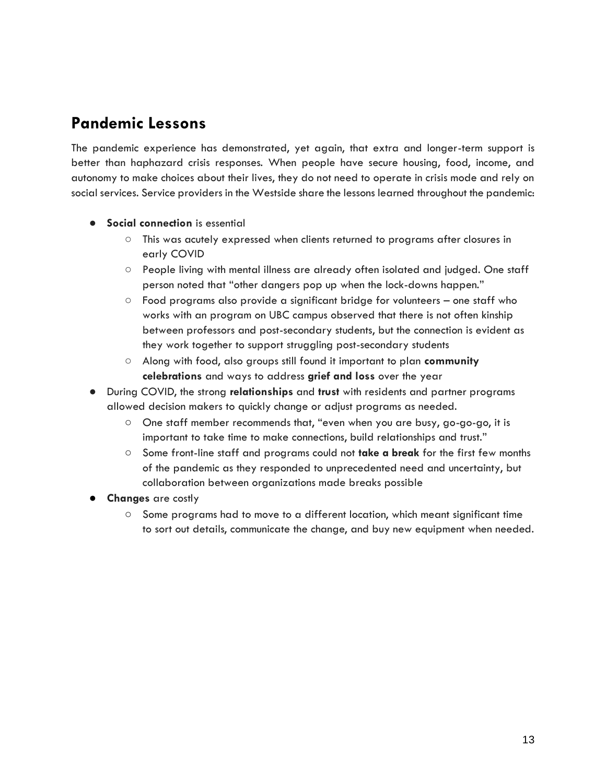## <span id="page-12-0"></span>**Pandemic Lessons**

The pandemic experience has demonstrated, yet again, that extra and longer-term support is better than haphazard crisis responses. When people have secure housing, food, income, and autonomy to make choices about their lives, they do not need to operate in crisis mode and rely on social services. Service providers in the Westside share the lessons learned throughout the pandemic:

- **•** Social connection is essential
	- This was acutely expressed when clients returned to programs after closures in early COVID
	- People living with mental illness are already often isolated and judged. One staff person noted that "other dangers pop up when the lock-downs happen."
	- Food programs also provide a significant bridge for volunteers one staff who works with an program on UBC campus observed that there is not often kinship between professors and post-secondary students, but the connection is evident as they work together to support struggling post-secondary students
	- Along with food, also groups still found it important to plan **community celebrations** and ways to address **grief and loss** over the year
- During COVID, the strong **relationships** and **trust** with residents and partner programs allowed decision makers to quickly change or adjust programs as needed.
	- One staff member recommends that, "even when you are busy, go-go-go, it is important to take time to make connections, build relationships and trust."
	- Some front-line staff and programs could not **take a break** for the first few months of the pandemic as they responded to unprecedented need and uncertainty, but collaboration between organizations made breaks possible
- **Changes** are costly
	- Some programs had to move to a different location, which meant significant time to sort out details, communicate the change, and buy new equipment when needed.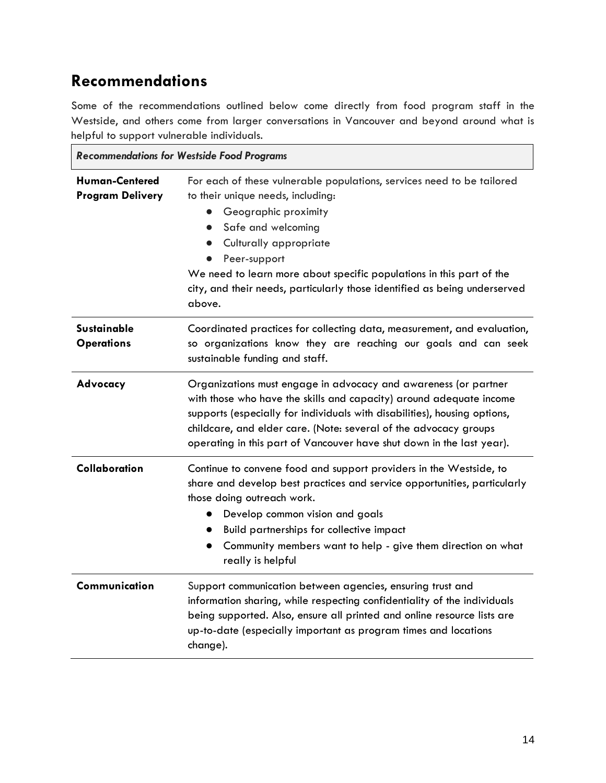# <span id="page-13-0"></span>**Recommendations**

Some of the recommendations outlined below come directly from food program staff in the Westside, and others come from larger conversations in Vancouver and beyond around what is helpful to support vulnerable individuals.

| <b>Recommendations for Westside Food Programs</b> |                                                                                                                                                                                                                                                                                                                                                                                 |  |  |  |  |
|---------------------------------------------------|---------------------------------------------------------------------------------------------------------------------------------------------------------------------------------------------------------------------------------------------------------------------------------------------------------------------------------------------------------------------------------|--|--|--|--|
| <b>Human-Centered</b><br><b>Program Delivery</b>  | For each of these vulnerable populations, services need to be tailored<br>to their unique needs, including:<br>Geographic proximity<br>Safe and welcoming<br>$\bullet$<br>Culturally appropriate<br>Peer-support<br>We need to learn more about specific populations in this part of the<br>city, and their needs, particularly those identified as being underserved<br>above. |  |  |  |  |
| <b>Sustainable</b><br><b>Operations</b>           | Coordinated practices for collecting data, measurement, and evaluation,<br>so organizations know they are reaching our goals and can seek<br>sustainable funding and staff.                                                                                                                                                                                                     |  |  |  |  |
| Advocacy                                          | Organizations must engage in advocacy and awareness (or partner<br>with those who have the skills and capacity) around adequate income<br>supports (especially for individuals with disabilities), housing options,<br>childcare, and elder care. (Note: several of the advocacy groups<br>operating in this part of Vancouver have shut down in the last year).                |  |  |  |  |
| Collaboration                                     | Continue to convene food and support providers in the Westside, to<br>share and develop best practices and service opportunities, particularly<br>those doing outreach work.<br>Develop common vision and goals<br>Build partnerships for collective impact<br>Community members want to help - give them direction on what<br>$\bullet$<br>really is helpful                   |  |  |  |  |
| Communication                                     | Support communication between agencies, ensuring trust and<br>information sharing, while respecting confidentiality of the individuals<br>being supported. Also, ensure all printed and online resource lists are<br>up-to-date (especially important as program times and locations<br>change).                                                                                |  |  |  |  |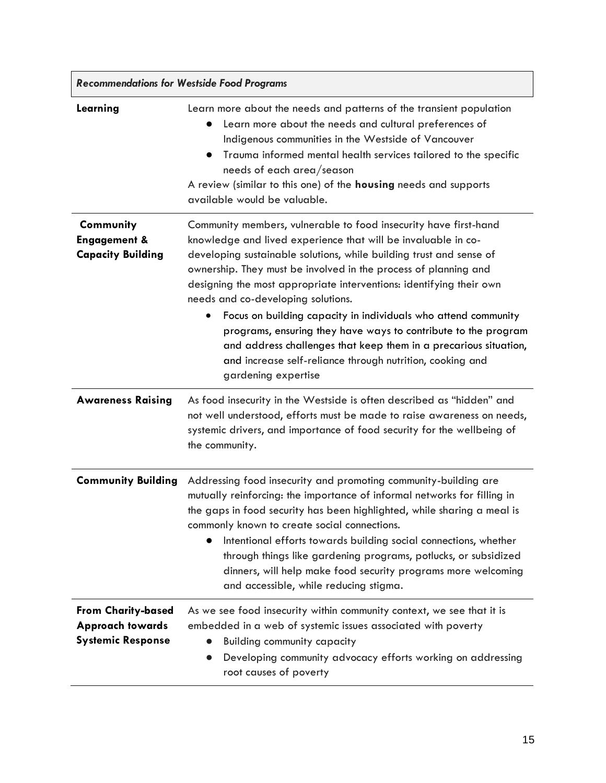| <b>Recommendations for Westside Food Programs</b>                                |                                                                                                                                                                                                                                                                                                                                                                                                                                                                                                                                                                                                                                                                                                   |  |  |  |
|----------------------------------------------------------------------------------|---------------------------------------------------------------------------------------------------------------------------------------------------------------------------------------------------------------------------------------------------------------------------------------------------------------------------------------------------------------------------------------------------------------------------------------------------------------------------------------------------------------------------------------------------------------------------------------------------------------------------------------------------------------------------------------------------|--|--|--|
| Learning                                                                         | Learn more about the needs and patterns of the transient population<br>Learn more about the needs and cultural preferences of<br>Indigenous communities in the Westside of Vancouver<br>Trauma informed mental health services tailored to the specific<br>$\bullet$<br>needs of each area/season<br>A review (similar to this one) of the housing needs and supports<br>available would be valuable.                                                                                                                                                                                                                                                                                             |  |  |  |
| Community<br><b>Engagement &amp;</b><br><b>Capacity Building</b>                 | Community members, vulnerable to food insecurity have first-hand<br>knowledge and lived experience that will be invaluable in co-<br>developing sustainable solutions, while building trust and sense of<br>ownership. They must be involved in the process of planning and<br>designing the most appropriate interventions: identifying their own<br>needs and co-developing solutions.<br>Focus on building capacity in individuals who attend community<br>$\bullet$<br>programs, ensuring they have ways to contribute to the program<br>and address challenges that keep them in a precarious situation,<br>and increase self-reliance through nutrition, cooking and<br>gardening expertise |  |  |  |
| <b>Awareness Raising</b>                                                         | As food insecurity in the Westside is often described as "hidden" and<br>not well understood, efforts must be made to raise awareness on needs,<br>systemic drivers, and importance of food security for the wellbeing of<br>the community.                                                                                                                                                                                                                                                                                                                                                                                                                                                       |  |  |  |
| <b>Community Building</b>                                                        | Addressing food insecurity and promoting community-building are<br>mutually reinforcing: the importance of informal networks for filling in<br>the gaps in food security has been highlighted, while sharing a meal is<br>commonly known to create social connections.<br>Intentional efforts towards building social connections, whether<br>through things like gardening programs, potlucks, or subsidized<br>dinners, will help make food security programs more welcoming<br>and accessible, while reducing stigma.                                                                                                                                                                          |  |  |  |
| <b>From Charity-based</b><br><b>Approach towards</b><br><b>Systemic Response</b> | As we see food insecurity within community context, we see that it is<br>embedded in a web of systemic issues associated with poverty<br><b>Building community capacity</b><br>Developing community advocacy efforts working on addressing<br>root causes of poverty                                                                                                                                                                                                                                                                                                                                                                                                                              |  |  |  |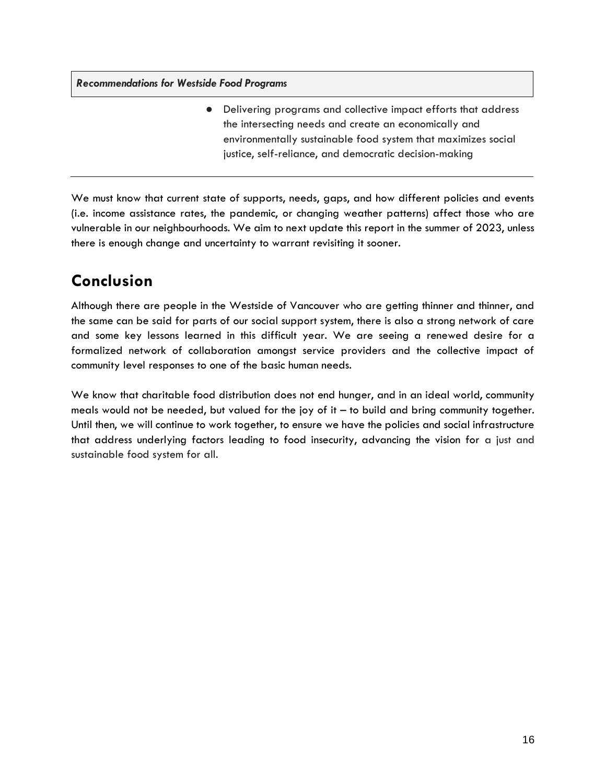*Recommendations for Westside Food Programs*

● Delivering programs and collective impact efforts that address the intersecting needs and create an economically and environmentally sustainable food system that maximizes social justice, self-reliance, and democratic decision-making

We must know that current state of supports, needs, gaps, and how different policies and events (i.e. income assistance rates, the pandemic, or changing weather patterns) affect those who are vulnerable in our neighbourhoods. We aim to next update this report in the summer of 2023, unless there is enough change and uncertainty to warrant revisiting it sooner.

# <span id="page-15-0"></span>**Conclusion**

Although there are people in the Westside of Vancouver who are getting thinner and thinner, and the same can be said for parts of our social support system, there is also a strong network of care and some key lessons learned in this difficult year. We are seeing a renewed desire for a formalized network of collaboration amongst service providers and the collective impact of community level responses to one of the basic human needs.

We know that charitable food distribution does not end hunger, and in an ideal world, community meals would not be needed, but valued for the joy of it  $-$  to build and bring community together. Until then, we will continue to work together, to ensure we have the policies and social infrastructure that address underlying factors leading to food insecurity, advancing the vision for a just and sustainable food system for all.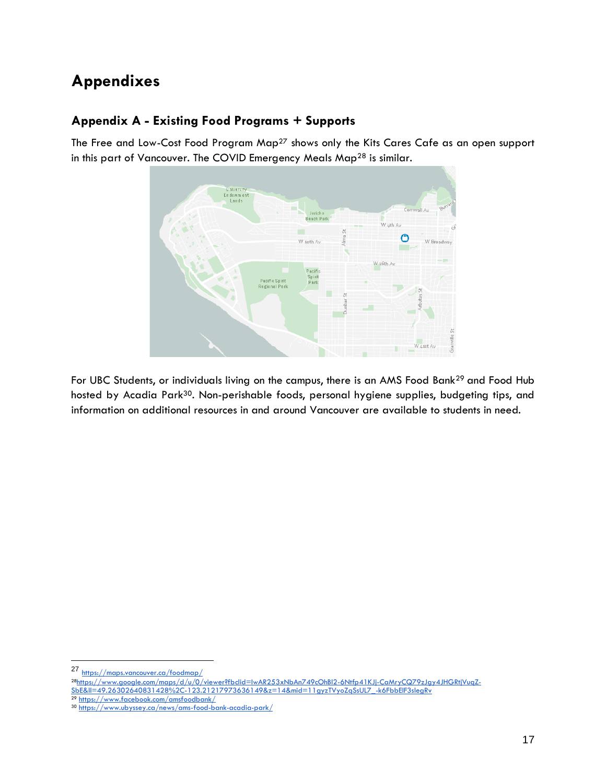# <span id="page-16-0"></span>**Appendixes**

## <span id="page-16-1"></span>**Appendix A - Existing Food Programs + Supports**

The Free and Low-Cost Food Program Map<sup>27</sup> shows only the Kits Cares Cafe as an open support in this part of Vancouver. The COVID Emergency Meals Map<sup>28</sup> is similar.



For UBC Students, or individuals living on the campus, there is an AMS Food Bank<sup>29</sup> and Food Hub hosted by Acadia Park<sup>30</sup>. Non-perishable foods, personal hygiene supplies, budgeting tips, and information on additional resources in and around Vancouver are available to students in need.

<sup>27</sup> <https://maps.vancouver.ca/foodmap/>

<sup>28</sup>[https://www.google.com/maps/d/u/0/viewer?fbclid=IwAR253xNbAn749cOhBl2-6Ntfp41KJj-CaMryCQ79zJgy4JHGRtjVuqZ-](https://www.google.com/maps/d/u/0/viewer?fbclid=IwAR253xNbAn749cOhBl2-6Ntfp41KJj-CaMryCQ79zJgy4JHGRtjVuqZ-SbE&ll=49.26302640831428%2C-123.21217973636149&z=14&mid=11gyzTVyoZqSsUL7_-k6FbbElF3slegRv)[SbE&ll=49.26302640831428%2C-123.21217973636149&z=14&mid=11gyzTVyoZqSsUL7\\_-k6FbbElF3slegRv](https://www.google.com/maps/d/u/0/viewer?fbclid=IwAR253xNbAn749cOhBl2-6Ntfp41KJj-CaMryCQ79zJgy4JHGRtjVuqZ-SbE&ll=49.26302640831428%2C-123.21217973636149&z=14&mid=11gyzTVyoZqSsUL7_-k6FbbElF3slegRv) <sup>29</sup> <https://www.facebook.com/amsfoodbank/>

<sup>30</sup> <https://www.ubyssey.ca/news/ams-food-bank-acadia-park/>